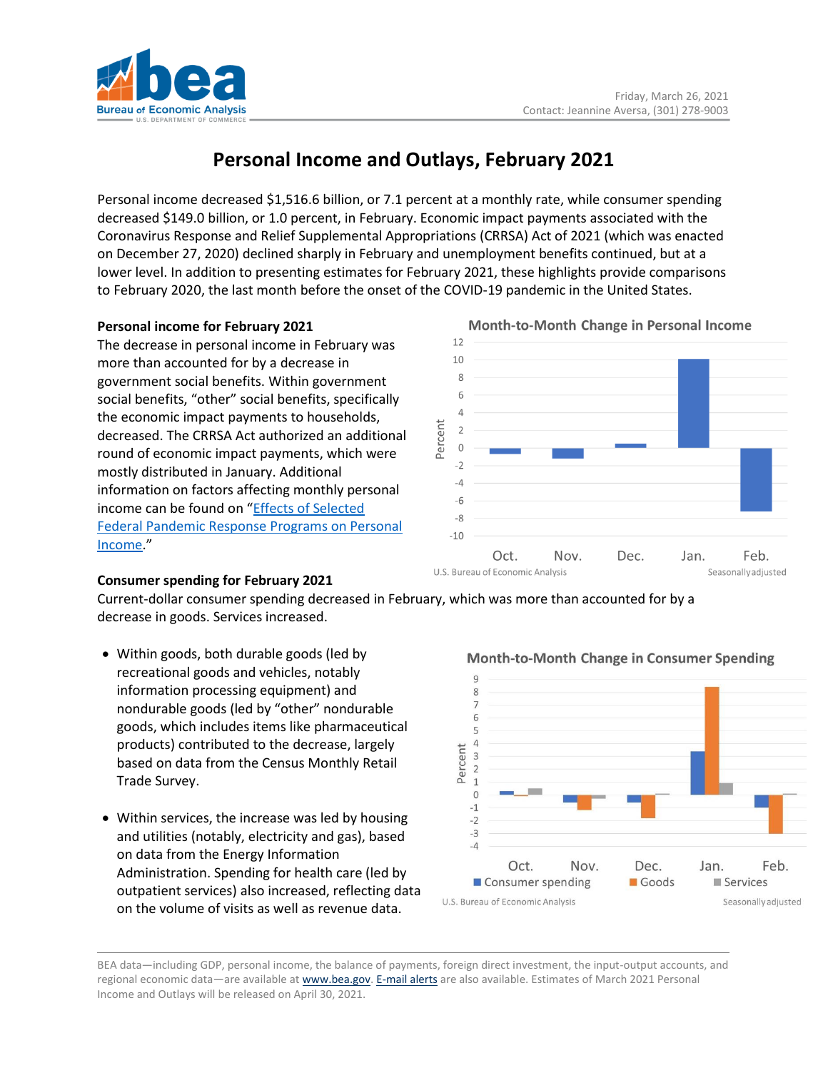

# **Personal Income and Outlays, February 2021**

Personal income decreased \$1,516.6 billion, or 7.1 percent at a monthly rate, while consumer spending decreased \$149.0 billion, or 1.0 percent, in February. Economic impact payments associated with the Coronavirus Response and Relief Supplemental Appropriations (CRRSA) Act of 2021 (which was enacted on December 27, 2020) declined sharply in February and unemployment benefits continued, but at a lower level. In addition to presenting estimates for February 2021, these highlights provide comparisons to February 2020, the last month before the onset of the COVID-19 pandemic in the United States.

## **Personal income for February 2021**

The decrease in personal income in February was more than accounted for by a decrease in government social benefits. Within government social benefits, "other" social benefits, specifically the economic impact payments to households, decreased. The CRRSA Act authorized an additional round of economic impact payments, which were mostly distributed in January. Additional information on factors affecting monthly personal income can be found on "[Effects of Selected](https://www.bea.gov/sites/default/files/2021-03/effects-of-selected-federal-pandemic-response-programs-on-personal-income-february-2021.pdf)  [Federal Pandemic Response Programs on Personal](https://www.bea.gov/sites/default/files/2021-03/effects-of-selected-federal-pandemic-response-programs-on-personal-income-february-2021.pdf)  [Income.](https://www.bea.gov/sites/default/files/2021-03/effects-of-selected-federal-pandemic-response-programs-on-personal-income-february-2021.pdf)"

### **Consumer spending for February 2021**

Current-dollar consumer spending decreased in February, which was more than accounted for by a decrease in goods. Services increased.

- Within goods, both durable goods (led by recreational goods and vehicles, notably information processing equipment) and nondurable goods (led by "other" nondurable goods, which includes items like pharmaceutical products) contributed to the decrease, largely based on data from the Census Monthly Retail Trade Survey.
- Within services, the increase was led by housing and utilities (notably, electricity and gas), based on data from the Energy Information Administration. Spending for health care (led by outpatient services) also increased, reflecting data on the volume of visits as well as revenue data.



BEA data—including GDP, personal income, the balance of payments, foreign direct investment, the input-output accounts, and regional economic data—are available at [www.bea.gov.](http://www.bea.gov/) [E-mail alerts](https://www.bea.gov/_subscribe) are also available. Estimates of March 2021 Personal Income and Outlays will be released on April 30, 2021.

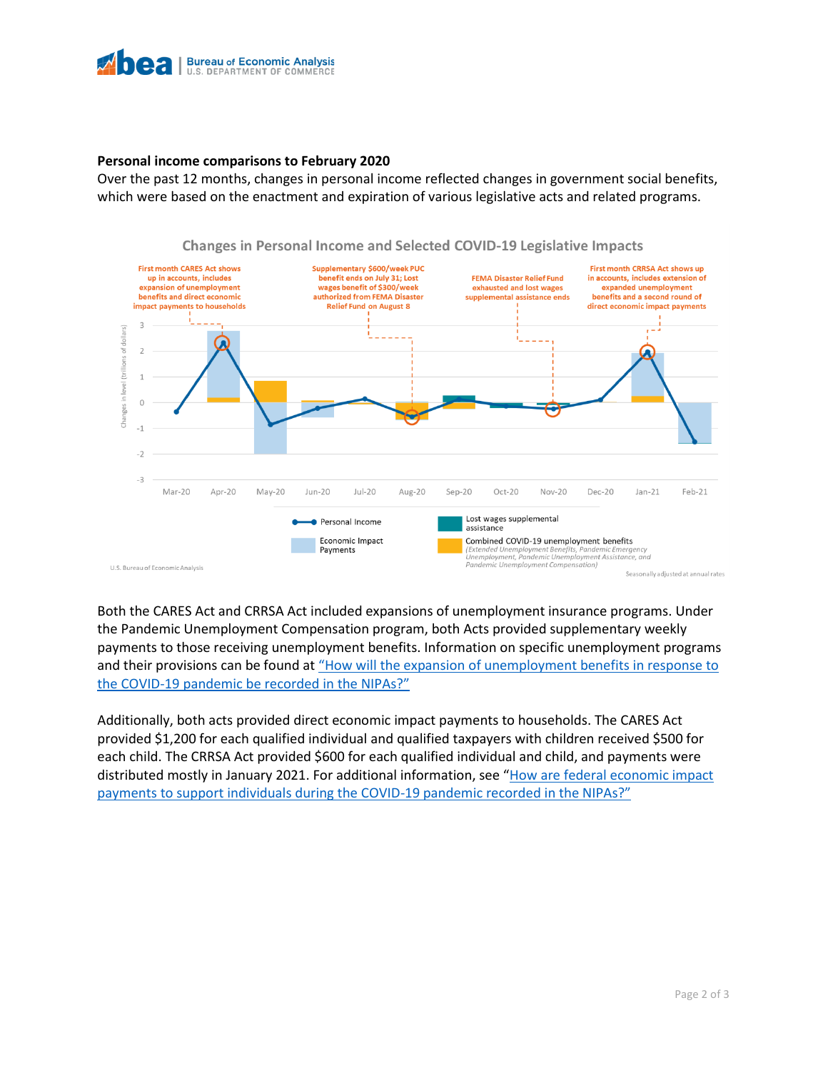

#### **Personal income comparisons to February 2020**

Over the past 12 months, changes in personal income reflected changes in government social benefits, which were based on the enactment and expiration of various legislative acts and related programs.



Changes in Personal Income and Selected COVID-19 Legislative Impacts

Both the CARES Act and CRRSA Act included expansions of unemployment insurance programs. Under the Pandemic Unemployment Compensation program, both Acts provided supplementary weekly payments to those receiving unemployment benefits. Information on specific unemployment programs and their provisions can be found at ["How will the expansion of unemployment benefits in response to](https://www.bea.gov/help/faq/1415)  the COVID-[19 pandemic be recorded in the NIPAs?"](https://www.bea.gov/help/faq/1415)

Additionally, both acts provided direct economic impact payments to households. The CARES Act provided \$1,200 for each qualified individual and qualified taxpayers with children received \$500 for each child. The CRRSA Act provided \$600 for each qualified individual and child, and payments were distributed mostly in January 2021. For additional information, see "[How are federal economic impact](https://www.bea.gov/help/faq/1409)  [payments to support individuals during the COVID-](https://www.bea.gov/help/faq/1409)19 pandemic recorded in the NIPAs?"